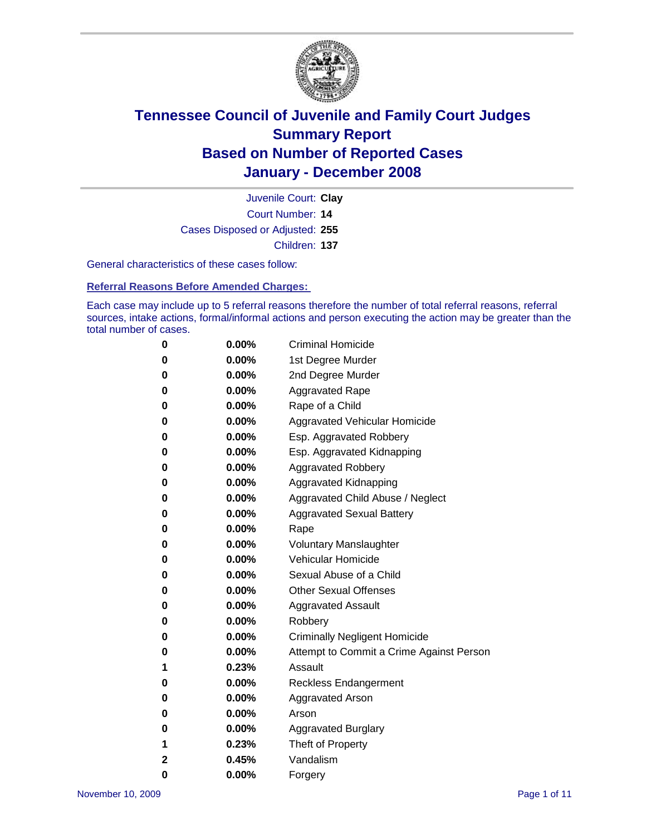

Court Number: **14** Juvenile Court: **Clay** Cases Disposed or Adjusted: **255** Children: **137**

General characteristics of these cases follow:

**Referral Reasons Before Amended Charges:** 

Each case may include up to 5 referral reasons therefore the number of total referral reasons, referral sources, intake actions, formal/informal actions and person executing the action may be greater than the total number of cases.

| 0        | 0.00%    | <b>Criminal Homicide</b>                 |
|----------|----------|------------------------------------------|
| 0        | 0.00%    | 1st Degree Murder                        |
| 0        | $0.00\%$ | 2nd Degree Murder                        |
| 0        | $0.00\%$ | <b>Aggravated Rape</b>                   |
| 0        | 0.00%    | Rape of a Child                          |
| 0        | 0.00%    | Aggravated Vehicular Homicide            |
| 0        | $0.00\%$ | Esp. Aggravated Robbery                  |
| 0        | $0.00\%$ | Esp. Aggravated Kidnapping               |
| $\bf{0}$ | 0.00%    | <b>Aggravated Robbery</b>                |
| 0        | $0.00\%$ | Aggravated Kidnapping                    |
| $\bf{0}$ | $0.00\%$ | Aggravated Child Abuse / Neglect         |
| $\bf{0}$ | 0.00%    | <b>Aggravated Sexual Battery</b>         |
| 0        | 0.00%    | Rape                                     |
| 0        | 0.00%    | <b>Voluntary Manslaughter</b>            |
| 0        | 0.00%    | Vehicular Homicide                       |
| 0        | $0.00\%$ | Sexual Abuse of a Child                  |
| $\bf{0}$ | $0.00\%$ | <b>Other Sexual Offenses</b>             |
| 0        | $0.00\%$ | <b>Aggravated Assault</b>                |
| $\bf{0}$ | 0.00%    | Robbery                                  |
| 0        | $0.00\%$ | <b>Criminally Negligent Homicide</b>     |
| $\bf{0}$ | $0.00\%$ | Attempt to Commit a Crime Against Person |
| 1        | 0.23%    | Assault                                  |
| $\bf{0}$ | $0.00\%$ | Reckless Endangerment                    |
| 0        | $0.00\%$ | <b>Aggravated Arson</b>                  |
| 0        | 0.00%    | Arson                                    |
| 0        | 0.00%    | <b>Aggravated Burglary</b>               |
| 1        | 0.23%    | Theft of Property                        |
| 2        | 0.45%    | Vandalism                                |
| 0        | 0.00%    | Forgery                                  |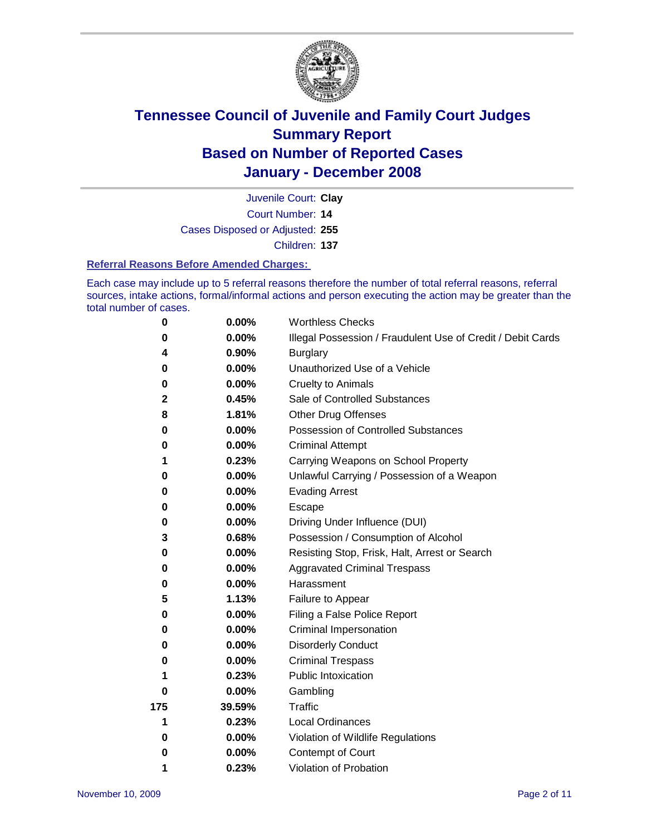

Court Number: **14** Juvenile Court: **Clay** Cases Disposed or Adjusted: **255** Children: **137**

#### **Referral Reasons Before Amended Charges:**

Each case may include up to 5 referral reasons therefore the number of total referral reasons, referral sources, intake actions, formal/informal actions and person executing the action may be greater than the total number of cases.

| 0           | 0.00%    | <b>Worthless Checks</b>                                     |  |  |
|-------------|----------|-------------------------------------------------------------|--|--|
| 0           | 0.00%    | Illegal Possession / Fraudulent Use of Credit / Debit Cards |  |  |
| 4           | 0.90%    | <b>Burglary</b>                                             |  |  |
| 0           | $0.00\%$ | Unauthorized Use of a Vehicle                               |  |  |
| 0           | 0.00%    | <b>Cruelty to Animals</b>                                   |  |  |
| $\mathbf 2$ | 0.45%    | Sale of Controlled Substances                               |  |  |
| 8           | 1.81%    | <b>Other Drug Offenses</b>                                  |  |  |
| 0           | 0.00%    | <b>Possession of Controlled Substances</b>                  |  |  |
| 0           | 0.00%    | <b>Criminal Attempt</b>                                     |  |  |
| 1           | 0.23%    | Carrying Weapons on School Property                         |  |  |
| 0           | 0.00%    | Unlawful Carrying / Possession of a Weapon                  |  |  |
| 0           | 0.00%    | <b>Evading Arrest</b>                                       |  |  |
| 0           | 0.00%    | Escape                                                      |  |  |
| 0           | 0.00%    | Driving Under Influence (DUI)                               |  |  |
| 3           | 0.68%    | Possession / Consumption of Alcohol                         |  |  |
| 0           | 0.00%    | Resisting Stop, Frisk, Halt, Arrest or Search               |  |  |
| 0           | $0.00\%$ | <b>Aggravated Criminal Trespass</b>                         |  |  |
| 0           | 0.00%    | Harassment                                                  |  |  |
| 5           | 1.13%    | Failure to Appear                                           |  |  |
| 0           | 0.00%    | Filing a False Police Report                                |  |  |
| 0           | 0.00%    | Criminal Impersonation                                      |  |  |
| 0           | 0.00%    | <b>Disorderly Conduct</b>                                   |  |  |
| 0           | 0.00%    | <b>Criminal Trespass</b>                                    |  |  |
| 1           | 0.23%    | <b>Public Intoxication</b>                                  |  |  |
| 0           | 0.00%    | Gambling                                                    |  |  |
| 175         | 39.59%   | Traffic                                                     |  |  |
| 1           | 0.23%    | <b>Local Ordinances</b>                                     |  |  |
| 0           | $0.00\%$ | Violation of Wildlife Regulations                           |  |  |
| 0           | 0.00%    | Contempt of Court                                           |  |  |
| 1           | 0.23%    | Violation of Probation                                      |  |  |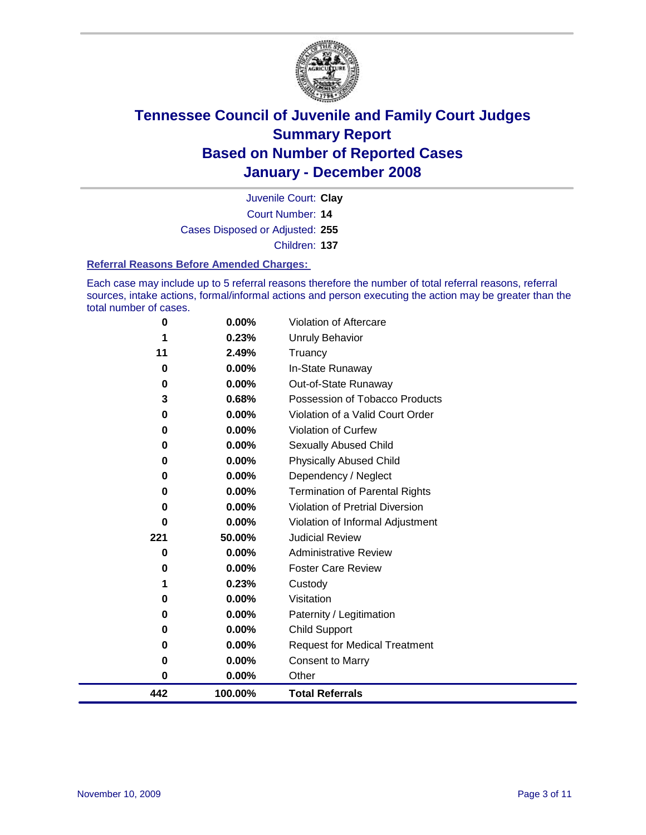

Court Number: **14** Juvenile Court: **Clay** Cases Disposed or Adjusted: **255** Children: **137**

#### **Referral Reasons Before Amended Charges:**

Each case may include up to 5 referral reasons therefore the number of total referral reasons, referral sources, intake actions, formal/informal actions and person executing the action may be greater than the total number of cases.

| 442      | 100.00%  | <b>Total Referrals</b>                |
|----------|----------|---------------------------------------|
| 0        | 0.00%    | Other                                 |
| 0        | 0.00%    | <b>Consent to Marry</b>               |
| 0        | 0.00%    | <b>Request for Medical Treatment</b>  |
| 0        | 0.00%    | Child Support                         |
| 0        | 0.00%    | Paternity / Legitimation              |
| 0        | 0.00%    | Visitation                            |
| 1        | 0.23%    | Custody                               |
| 0        | 0.00%    | <b>Foster Care Review</b>             |
| 0        | 0.00%    | <b>Administrative Review</b>          |
| 221      | 50.00%   | <b>Judicial Review</b>                |
| 0        | 0.00%    | Violation of Informal Adjustment      |
| 0        | 0.00%    | Violation of Pretrial Diversion       |
| 0        | 0.00%    | <b>Termination of Parental Rights</b> |
| 0        | 0.00%    | Dependency / Neglect                  |
| 0        | $0.00\%$ | <b>Physically Abused Child</b>        |
| 0        | 0.00%    | <b>Sexually Abused Child</b>          |
| 0        | 0.00%    | Violation of Curfew                   |
| 0        | 0.00%    | Violation of a Valid Court Order      |
| 3        | 0.68%    | Possession of Tobacco Products        |
| 0        | 0.00%    | Out-of-State Runaway                  |
| $\bf{0}$ | 0.00%    | In-State Runaway                      |
| 11       | 2.49%    | Truancy                               |
| 1        | 0.23%    | Unruly Behavior                       |
| 0        | 0.00%    | Violation of Aftercare                |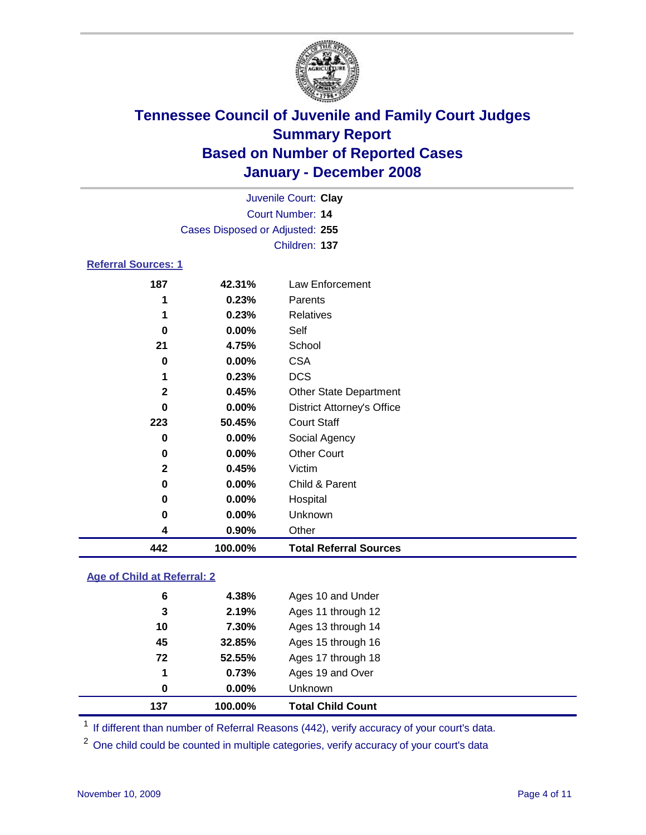

| Juvenile Court: Clay            |          |                                   |  |  |  |  |
|---------------------------------|----------|-----------------------------------|--|--|--|--|
| Court Number: 14                |          |                                   |  |  |  |  |
| Cases Disposed or Adjusted: 255 |          |                                   |  |  |  |  |
|                                 |          | Children: 137                     |  |  |  |  |
| <b>Referral Sources: 1</b>      |          |                                   |  |  |  |  |
| 187                             | 42.31%   | Law Enforcement                   |  |  |  |  |
| 1                               | 0.23%    | Parents                           |  |  |  |  |
| 1                               | 0.23%    | <b>Relatives</b>                  |  |  |  |  |
| 0                               | $0.00\%$ | Self                              |  |  |  |  |
| 21                              | 4.75%    | School                            |  |  |  |  |
| 0                               | $0.00\%$ | <b>CSA</b>                        |  |  |  |  |
| 1                               | 0.23%    | <b>DCS</b>                        |  |  |  |  |
| $\mathbf 2$                     | 0.45%    | <b>Other State Department</b>     |  |  |  |  |
| 0                               | 0.00%    | <b>District Attorney's Office</b> |  |  |  |  |

| 442          | 100.00% | <b>Total Referral Sources</b> |
|--------------|---------|-------------------------------|
| 4            | 0.90%   | Other                         |
| 0            | 0.00%   | <b>Unknown</b>                |
| 0            | 0.00%   | Hospital                      |
| 0            | 0.00%   | Child & Parent                |
| $\mathbf{2}$ | 0.45%   | Victim                        |
| 0            | 0.00%   | <b>Other Court</b>            |
| 0            | 0.00%   | Social Agency                 |
| 223          | 50.45%  | <b>Court Staff</b>            |

### **Age of Child at Referral: 2**

| 137         | 100.00% | <b>Total Child Count</b> |
|-------------|---------|--------------------------|
| 0           | 0.00%   | Unknown                  |
| $\mathbf 1$ | 0.73%   | Ages 19 and Over         |
| 72          | 52.55%  | Ages 17 through 18       |
| 45          | 32.85%  | Ages 15 through 16       |
| 10          | 7.30%   | Ages 13 through 14       |
| 3           | 2.19%   | Ages 11 through 12       |
| 6           | 4.38%   | Ages 10 and Under        |
|             |         |                          |

<sup>1</sup> If different than number of Referral Reasons (442), verify accuracy of your court's data.

<sup>2</sup> One child could be counted in multiple categories, verify accuracy of your court's data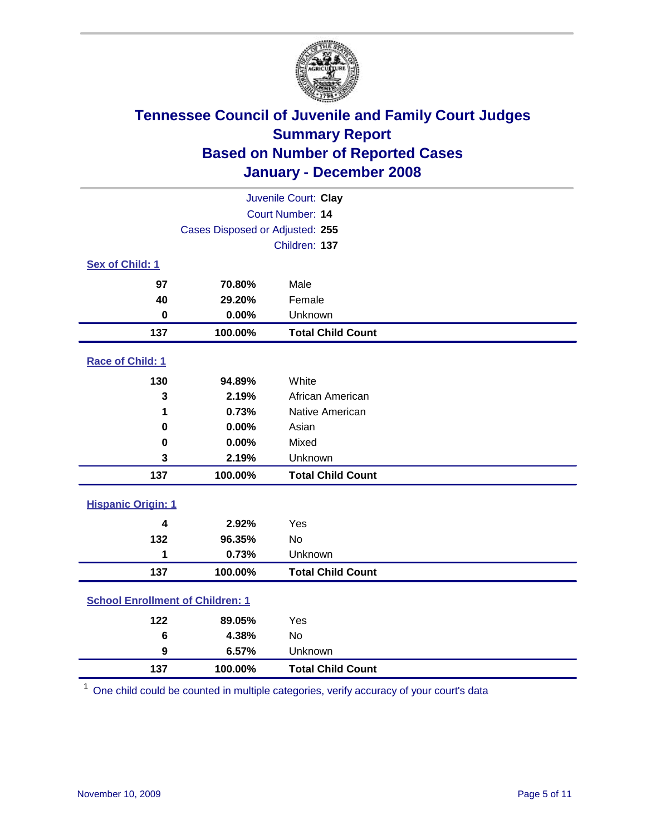

| Juvenile Court: Clay                    |                                 |                          |  |  |  |
|-----------------------------------------|---------------------------------|--------------------------|--|--|--|
| Court Number: 14                        |                                 |                          |  |  |  |
|                                         | Cases Disposed or Adjusted: 255 |                          |  |  |  |
|                                         | Children: 137                   |                          |  |  |  |
| Sex of Child: 1                         |                                 |                          |  |  |  |
| 97                                      | 70.80%                          | Male                     |  |  |  |
| 40                                      | 29.20%                          | Female                   |  |  |  |
| $\bf{0}$                                | 0.00%                           | Unknown                  |  |  |  |
| 137                                     | 100.00%                         | <b>Total Child Count</b> |  |  |  |
| Race of Child: 1                        |                                 |                          |  |  |  |
| 130                                     | 94.89%                          | White                    |  |  |  |
| 3                                       | 2.19%                           | African American         |  |  |  |
| 1                                       | 0.73%                           | Native American          |  |  |  |
| 0                                       | 0.00%                           | Asian                    |  |  |  |
| 0                                       | 0.00%                           | Mixed                    |  |  |  |
| 3                                       | 2.19%                           | Unknown                  |  |  |  |
| 137                                     | 100.00%                         | <b>Total Child Count</b> |  |  |  |
| <b>Hispanic Origin: 1</b>               |                                 |                          |  |  |  |
| $\overline{\mathbf{4}}$                 | 2.92%                           | Yes                      |  |  |  |
| 132                                     | 96.35%                          | <b>No</b>                |  |  |  |
| 1                                       | 0.73%                           | Unknown                  |  |  |  |
| 137                                     | 100.00%                         | <b>Total Child Count</b> |  |  |  |
| <b>School Enrollment of Children: 1</b> |                                 |                          |  |  |  |
| 122                                     | 89.05%                          | Yes                      |  |  |  |
| 6                                       | 4.38%                           | No                       |  |  |  |
| $\boldsymbol{9}$                        | 6.57%                           | Unknown                  |  |  |  |
| 137                                     | 100.00%                         | <b>Total Child Count</b> |  |  |  |

One child could be counted in multiple categories, verify accuracy of your court's data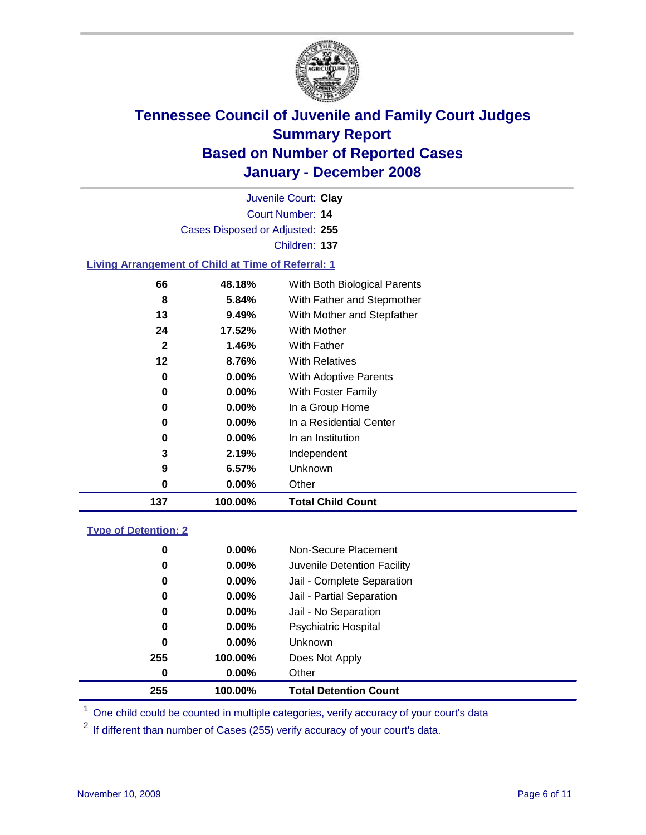

Court Number: **14** Juvenile Court: **Clay** Cases Disposed or Adjusted: **255** Children: **137 Living Arrangement of Child at Time of Referral: 1**

| 137          | 100.00%  | <b>Total Child Count</b>     |
|--------------|----------|------------------------------|
| 0            | 0.00%    | Other                        |
| 9            | 6.57%    | Unknown                      |
| 3            | 2.19%    | Independent                  |
| 0            | $0.00\%$ | In an Institution            |
| 0            | $0.00\%$ | In a Residential Center      |
| 0            | $0.00\%$ | In a Group Home              |
| 0            | $0.00\%$ | With Foster Family           |
| 0            | $0.00\%$ | With Adoptive Parents        |
| 12           | 8.76%    | <b>With Relatives</b>        |
| $\mathbf{2}$ | 1.46%    | With Father                  |
| 24           | 17.52%   | <b>With Mother</b>           |
| 13           | 9.49%    | With Mother and Stepfather   |
| 8            | 5.84%    | With Father and Stepmother   |
| 66           | 48.18%   | With Both Biological Parents |
|              |          |                              |

### **Type of Detention: 2**

| 255 | 100.00%  | <b>Total Detention Count</b> |  |
|-----|----------|------------------------------|--|
| 0   | $0.00\%$ | Other                        |  |
| 255 | 100.00%  | Does Not Apply               |  |
| 0   | $0.00\%$ | <b>Unknown</b>               |  |
| 0   | 0.00%    | Psychiatric Hospital         |  |
| 0   | 0.00%    | Jail - No Separation         |  |
| 0   | $0.00\%$ | Jail - Partial Separation    |  |
| 0   | 0.00%    | Jail - Complete Separation   |  |
| 0   | 0.00%    | Juvenile Detention Facility  |  |
| 0   | $0.00\%$ | Non-Secure Placement         |  |
|     |          |                              |  |

<sup>1</sup> One child could be counted in multiple categories, verify accuracy of your court's data

<sup>2</sup> If different than number of Cases (255) verify accuracy of your court's data.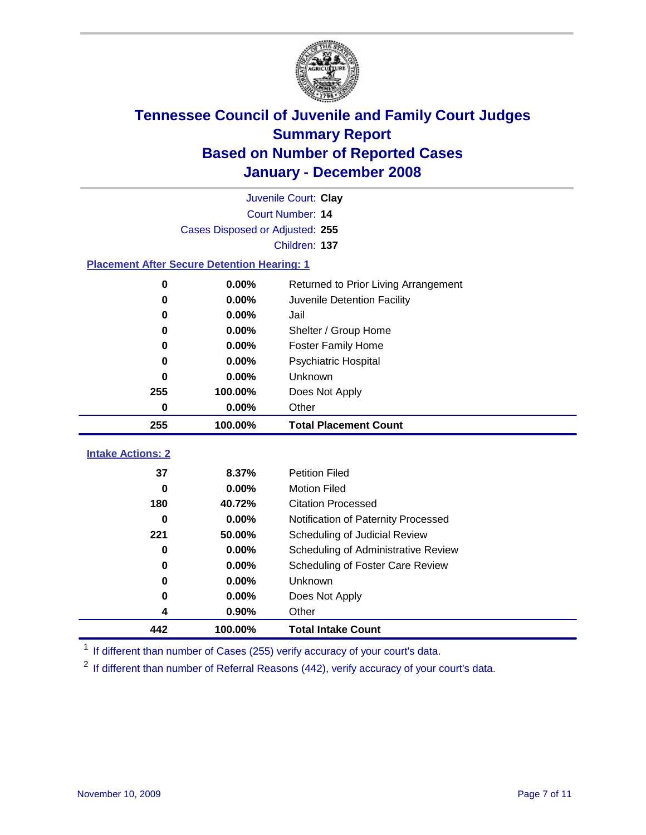

|                          | Juvenile Court: Clay                               |                                                  |  |  |  |
|--------------------------|----------------------------------------------------|--------------------------------------------------|--|--|--|
|                          | Court Number: 14                                   |                                                  |  |  |  |
|                          | Cases Disposed or Adjusted: 255                    |                                                  |  |  |  |
|                          | Children: 137                                      |                                                  |  |  |  |
|                          | <b>Placement After Secure Detention Hearing: 1</b> |                                                  |  |  |  |
| $\bf{0}$                 | 0.00%                                              | Returned to Prior Living Arrangement             |  |  |  |
| $\bf{0}$                 | 0.00%                                              | Juvenile Detention Facility                      |  |  |  |
| $\bf{0}$                 | 0.00%                                              | Jail                                             |  |  |  |
| 0                        | 0.00%                                              | Shelter / Group Home                             |  |  |  |
| 0                        | 0.00%                                              | <b>Foster Family Home</b>                        |  |  |  |
| $\bf{0}$                 | 0.00%                                              | Psychiatric Hospital                             |  |  |  |
| 0                        | 0.00%                                              | <b>Unknown</b>                                   |  |  |  |
| 255                      | 100.00%                                            | Does Not Apply                                   |  |  |  |
| $\bf{0}$                 | 0.00%                                              | Other                                            |  |  |  |
| 255                      | 100.00%                                            | <b>Total Placement Count</b>                     |  |  |  |
| <b>Intake Actions: 2</b> |                                                    |                                                  |  |  |  |
| 37                       |                                                    |                                                  |  |  |  |
|                          |                                                    |                                                  |  |  |  |
|                          | 8.37%                                              | <b>Petition Filed</b>                            |  |  |  |
| $\bf{0}$<br>180          | 0.00%<br>40.72%                                    | <b>Motion Filed</b><br><b>Citation Processed</b> |  |  |  |
| 0                        | 0.00%                                              | Notification of Paternity Processed              |  |  |  |
| 221                      | 50.00%                                             | Scheduling of Judicial Review                    |  |  |  |
| $\bf{0}$                 | 0.00%                                              | Scheduling of Administrative Review              |  |  |  |
| 0                        | 0.00%                                              | Scheduling of Foster Care Review                 |  |  |  |
| $\bf{0}$                 | 0.00%                                              | Unknown                                          |  |  |  |
| 0                        | 0.00%                                              | Does Not Apply                                   |  |  |  |
| 4                        | 0.90%                                              | Other                                            |  |  |  |

<sup>1</sup> If different than number of Cases (255) verify accuracy of your court's data.

<sup>2</sup> If different than number of Referral Reasons (442), verify accuracy of your court's data.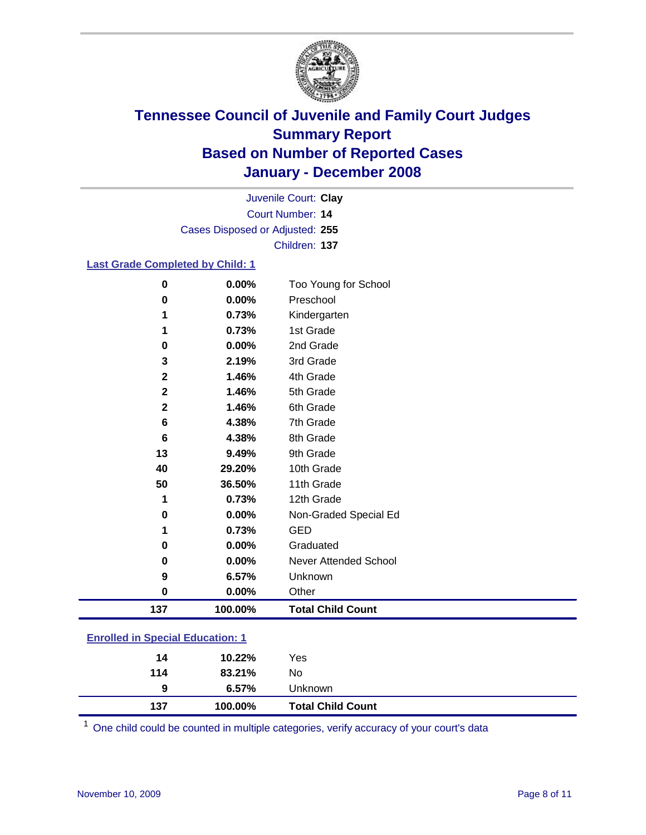

Court Number: **14** Juvenile Court: **Clay** Cases Disposed or Adjusted: **255** Children: **137**

#### **Last Grade Completed by Child: 1**

| $\bf{0}$    | 0.00%   | Too Young for School     |
|-------------|---------|--------------------------|
| 0           | 0.00%   | Preschool                |
| 1           | 0.73%   | Kindergarten             |
| 1           | 0.73%   | 1st Grade                |
| 0           | 0.00%   | 2nd Grade                |
| 3           | 2.19%   | 3rd Grade                |
| $\mathbf 2$ | 1.46%   | 4th Grade                |
| $\mathbf 2$ | 1.46%   | 5th Grade                |
| $\mathbf 2$ | 1.46%   | 6th Grade                |
| 6           | 4.38%   | 7th Grade                |
| 6           | 4.38%   | 8th Grade                |
| 13          | 9.49%   | 9th Grade                |
| 40          | 29.20%  | 10th Grade               |
| 50          | 36.50%  | 11th Grade               |
| 1           | 0.73%   | 12th Grade               |
| 0           | 0.00%   | Non-Graded Special Ed    |
| 1           | 0.73%   | <b>GED</b>               |
| 0           | 0.00%   | Graduated                |
| 0           | 0.00%   | Never Attended School    |
| 9           | 6.57%   | Unknown                  |
| 0           | 0.00%   | Other                    |
| 137         | 100.00% | <b>Total Child Count</b> |

### **Enrolled in Special Education: 1**

| 9<br>137 | 6.57%<br>100.00% | <b>Unknown</b><br><b>Total Child Count</b> |
|----------|------------------|--------------------------------------------|
| 114      | 83.21%           | No                                         |
| 14       | 10.22%           | Yes                                        |

<sup>1</sup> One child could be counted in multiple categories, verify accuracy of your court's data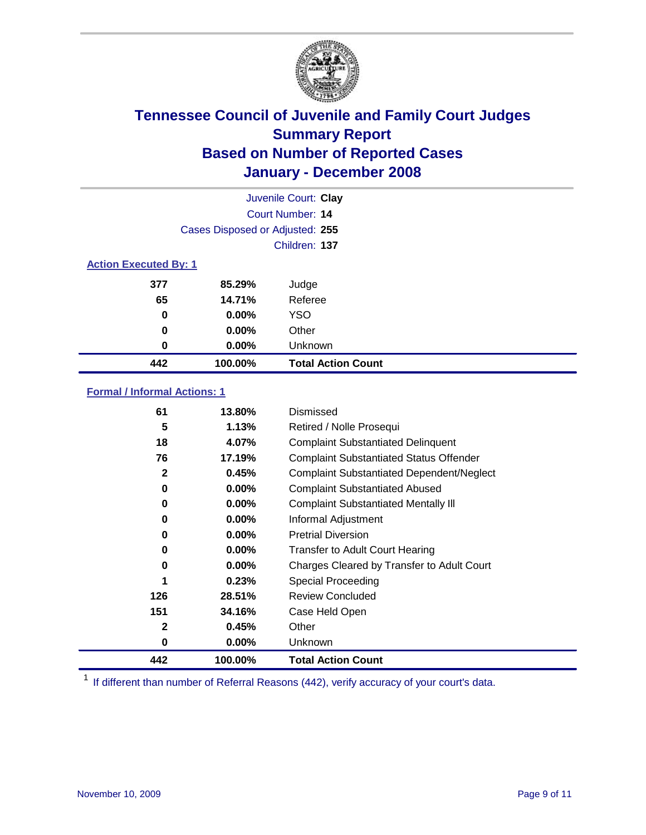

|                              |                                 | Juvenile Court: Clay      |
|------------------------------|---------------------------------|---------------------------|
|                              |                                 | Court Number: 14          |
|                              | Cases Disposed or Adjusted: 255 |                           |
|                              |                                 | Children: 137             |
| <b>Action Executed By: 1</b> |                                 |                           |
| 377                          | 85.29%                          | Judge                     |
| 65                           | 14.71%                          | Referee                   |
| 0                            | $0.00\%$                        | <b>YSO</b>                |
| 0                            | $0.00\%$                        | Other                     |
| 0                            | $0.00\%$                        | Unknown                   |
| 442                          | 100.00%                         | <b>Total Action Count</b> |

### **Formal / Informal Actions: 1**

| 61           | 13.80%   | Dismissed                                        |
|--------------|----------|--------------------------------------------------|
| 5            | 1.13%    | Retired / Nolle Prosequi                         |
| 18           | 4.07%    | <b>Complaint Substantiated Delinquent</b>        |
| 76           | 17.19%   | <b>Complaint Substantiated Status Offender</b>   |
| 2            | 0.45%    | <b>Complaint Substantiated Dependent/Neglect</b> |
| 0            | $0.00\%$ | <b>Complaint Substantiated Abused</b>            |
| 0            | $0.00\%$ | <b>Complaint Substantiated Mentally III</b>      |
| 0            | $0.00\%$ | Informal Adjustment                              |
| 0            | $0.00\%$ | <b>Pretrial Diversion</b>                        |
| 0            | $0.00\%$ | <b>Transfer to Adult Court Hearing</b>           |
| 0            | $0.00\%$ | Charges Cleared by Transfer to Adult Court       |
| 1            | 0.23%    | Special Proceeding                               |
| 126          | 28.51%   | <b>Review Concluded</b>                          |
| 151          | 34.16%   | Case Held Open                                   |
| $\mathbf{2}$ | 0.45%    | Other                                            |
| 0            | $0.00\%$ | <b>Unknown</b>                                   |
| 442          | 100.00%  | <b>Total Action Count</b>                        |

<sup>1</sup> If different than number of Referral Reasons (442), verify accuracy of your court's data.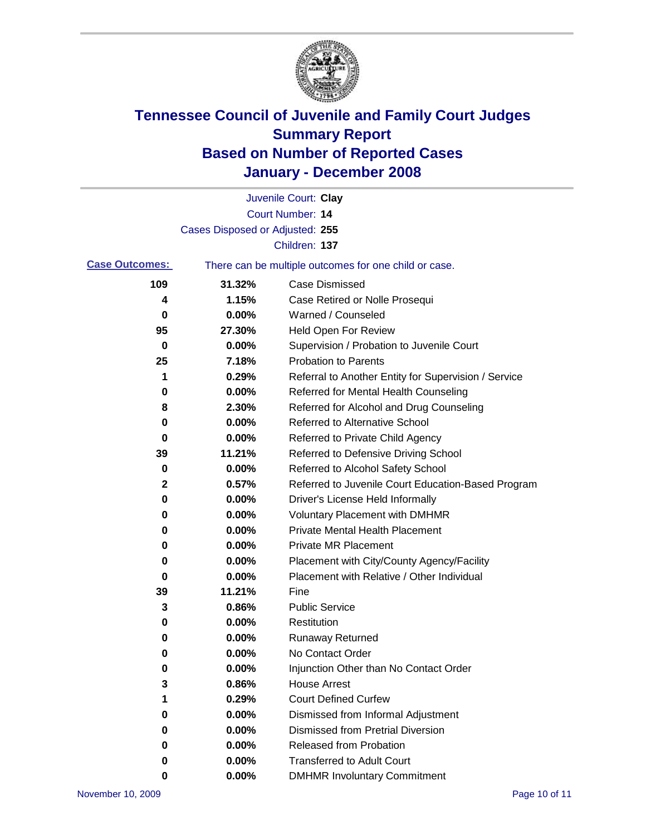

|                       |                                 | Juvenile Court: Clay                                  |
|-----------------------|---------------------------------|-------------------------------------------------------|
|                       |                                 | Court Number: 14                                      |
|                       | Cases Disposed or Adjusted: 255 |                                                       |
|                       |                                 | Children: 137                                         |
| <b>Case Outcomes:</b> |                                 | There can be multiple outcomes for one child or case. |
| 109                   | 31.32%                          | <b>Case Dismissed</b>                                 |
| 4                     | 1.15%                           | Case Retired or Nolle Prosequi                        |
| 0                     | 0.00%                           | Warned / Counseled                                    |
| 95                    | 27.30%                          | <b>Held Open For Review</b>                           |
| 0                     | 0.00%                           | Supervision / Probation to Juvenile Court             |
| 25                    | 7.18%                           | <b>Probation to Parents</b>                           |
| 1                     | 0.29%                           | Referral to Another Entity for Supervision / Service  |
| 0                     | 0.00%                           | Referred for Mental Health Counseling                 |
| 8                     | 2.30%                           | Referred for Alcohol and Drug Counseling              |
| 0                     | 0.00%                           | Referred to Alternative School                        |
| 0                     | 0.00%                           | Referred to Private Child Agency                      |
| 39                    | 11.21%                          | Referred to Defensive Driving School                  |
| 0                     | 0.00%                           | Referred to Alcohol Safety School                     |
| 2                     | 0.57%                           | Referred to Juvenile Court Education-Based Program    |
| 0                     | 0.00%                           | Driver's License Held Informally                      |
| 0                     | 0.00%                           | <b>Voluntary Placement with DMHMR</b>                 |
| 0                     | 0.00%                           | Private Mental Health Placement                       |
| 0                     | 0.00%                           | <b>Private MR Placement</b>                           |
| 0                     | 0.00%                           | Placement with City/County Agency/Facility            |
| 0                     | 0.00%                           | Placement with Relative / Other Individual            |
| 39                    | 11.21%                          | Fine                                                  |
| 3                     | 0.86%                           | <b>Public Service</b>                                 |
| 0                     | 0.00%                           | Restitution                                           |
| 0                     | 0.00%                           | <b>Runaway Returned</b>                               |
| 0                     | 0.00%                           | No Contact Order                                      |
| 0                     | 0.00%                           | Injunction Other than No Contact Order                |
| 3                     | 0.86%                           | <b>House Arrest</b>                                   |
| 1                     | 0.29%                           | <b>Court Defined Curfew</b>                           |
| 0                     | 0.00%                           | Dismissed from Informal Adjustment                    |
| 0                     | 0.00%                           | <b>Dismissed from Pretrial Diversion</b>              |
| 0                     | 0.00%                           | Released from Probation                               |
| 0                     | 0.00%                           | <b>Transferred to Adult Court</b>                     |
| 0                     | 0.00%                           | <b>DMHMR Involuntary Commitment</b>                   |